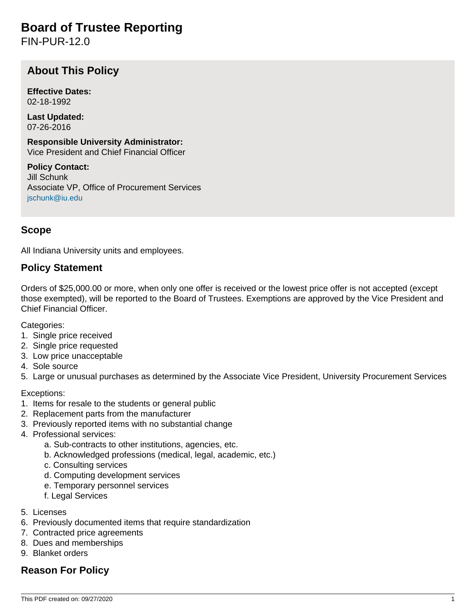# **Board of Trustee Reporting**

FIN-PUR-12.0

# **About This Policy**

**Effective Dates:** 02-18-1992

**Last Updated:** 07-26-2016

**Responsible University Administrator:** Vice President and Chief Financial Officer

**Policy Contact:** Jill Schunk Associate VP, Office of Procurement Services [jschunk@iu.edu](mailto:jschunk@iu.edu)

### **Scope**

All Indiana University units and employees.

#### **Policy Statement**

Orders of \$25,000.00 or more, when only one offer is received or the lowest price offer is not accepted (except those exempted), will be reported to the Board of Trustees. Exemptions are approved by the Vice President and Chief Financial Officer.

Categories:

- 1. Single price received
- 2. Single price requested
- 3. Low price unacceptable
- 4. Sole source

5. Large or unusual purchases as determined by the Associate Vice President, University Procurement Services

Exceptions:

- 1. Items for resale to the students or general public
- 2. Replacement parts from the manufacturer
- 3. Previously reported items with no substantial change
- 4. Professional services:
	- a. Sub-contracts to other institutions, agencies, etc.
	- b. Acknowledged professions (medical, legal, academic, etc.)
	- c. Consulting services
	- d. Computing development services
	- e. Temporary personnel services
	- f. Legal Services
- 5. Licenses
- 6. Previously documented items that require standardization
- 7. Contracted price agreements
- 8. Dues and memberships
- 9. Blanket orders

### **Reason For Policy**